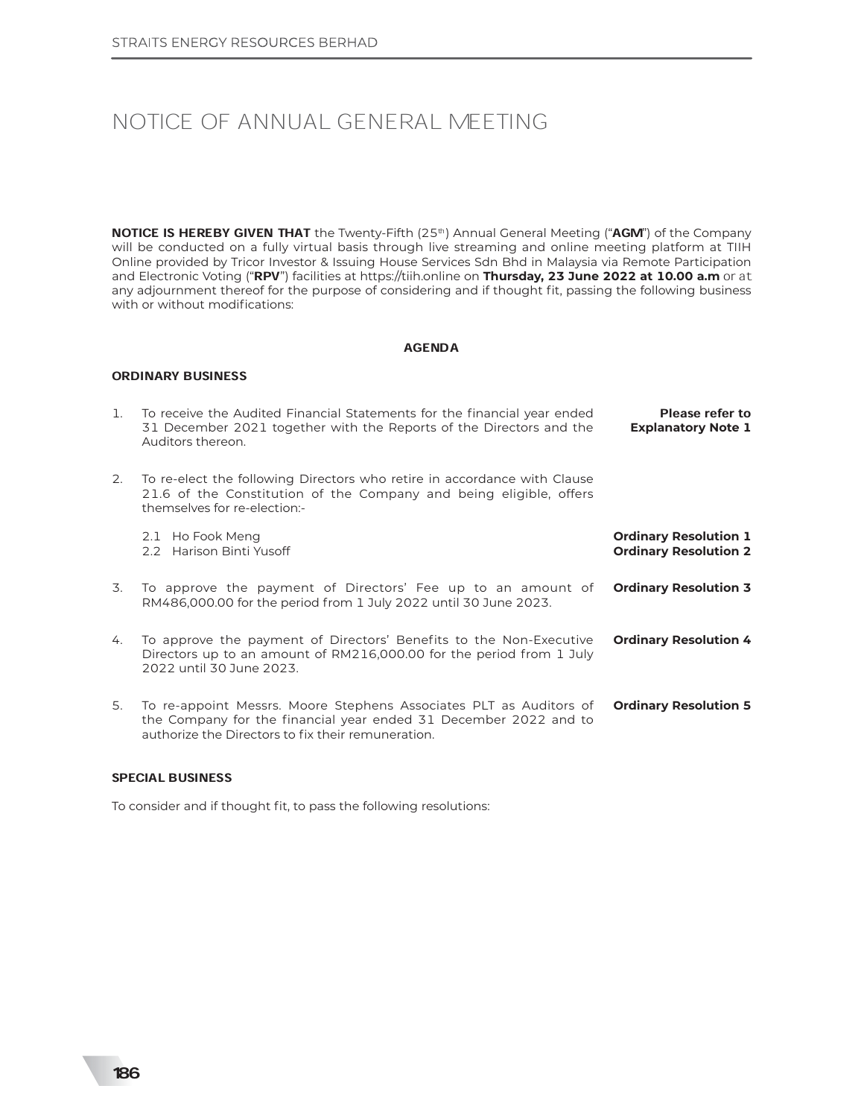### NOTICE OF ANNUAL GENERAL MEETING

NOTICE IS HEREBY GIVEN THAT the Twenty-Fifth (25<sup>th</sup>) Annual General Meeting ("AGM") of the Company will be conducted on a fully virtual basis through live streaming and online meeting platform at TIIH Online provided by Tricor Investor & Issuing House Services Sdn Bhd in Malaysia via Remote Participation and Electronic Voting ("RPV") facilities at https://tiih.online on Thursday, 23 June 2022 at 10.00 a.m or at any adjournment thereof for the purpose of considering and if thought fit, passing the following business with or without modifications:

#### AGENDA

#### ORDINARY BUSINESS

| 1. | To receive the Audited Financial Statements for the financial year ended<br>31 December 2021 together with the Reports of the Directors and the<br>Auditors thereon.                         | Please refer to<br><b>Explanatory Note 1</b>                 |
|----|----------------------------------------------------------------------------------------------------------------------------------------------------------------------------------------------|--------------------------------------------------------------|
| 2. | To re-elect the following Directors who retire in accordance with Clause<br>21.6 of the Constitution of the Company and being eligible, offers<br>themselves for re-election:-               |                                                              |
|    | 2.1 Ho Fook Meng<br>2.2 Harison Binti Yusoff                                                                                                                                                 | <b>Ordinary Resolution 1</b><br><b>Ordinary Resolution 2</b> |
| 3. | To approve the payment of Directors' Fee up to an amount of<br>RM486,000.00 for the period from 1 July 2022 until 30 June 2023.                                                              | <b>Ordinary Resolution 3</b>                                 |
| 4. | To approve the payment of Directors' Benefits to the Non-Executive<br>Directors up to an amount of RM216,000.00 for the period from 1 July<br>2022 until 30 June 2023.                       | <b>Ordinary Resolution 4</b>                                 |
| 5. | To re-appoint Messrs. Moore Stephens Associates PLT as Auditors of<br>the Company for the financial year ended 31 December 2022 and to<br>authorize the Directors to fix their remuneration. | <b>Ordinary Resolution 5</b>                                 |

#### SPECIAL BUSINESS

To consider and if thought fit, to pass the following resolutions: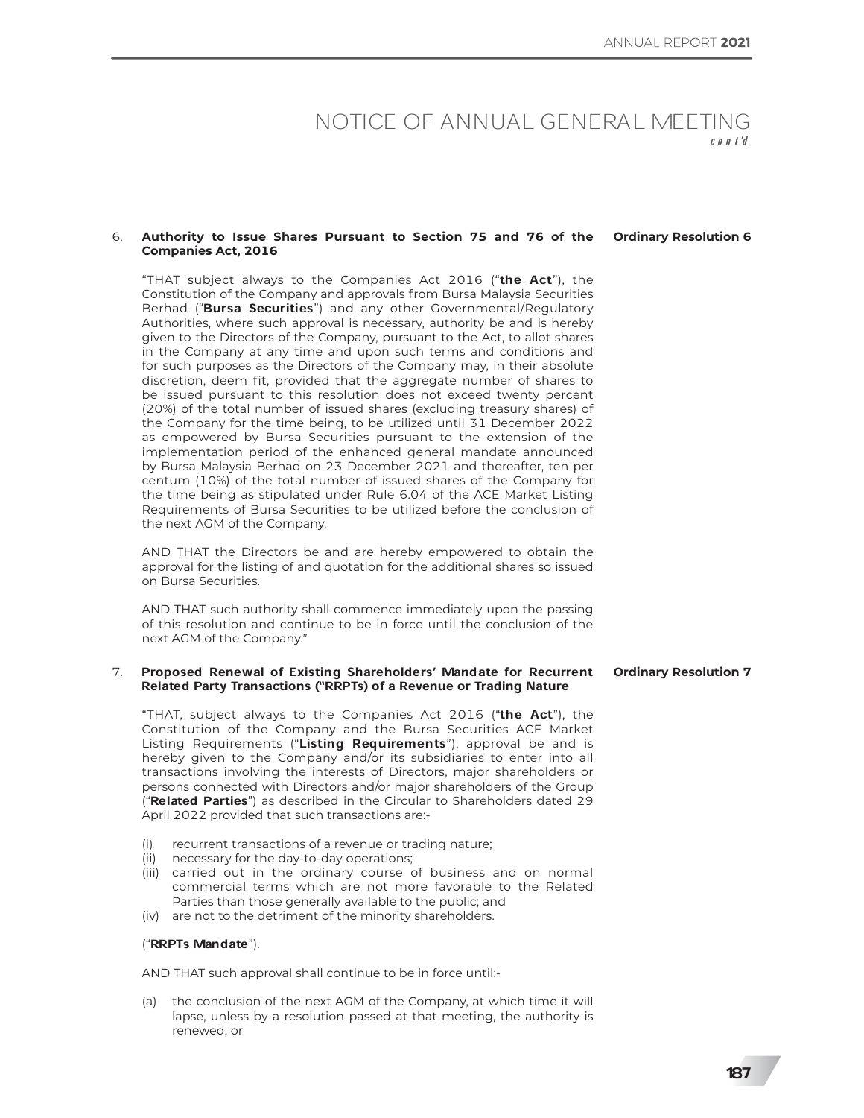### NOTICE OF ANNUAL GENERAL MEETING

#### 6. Authority to Issue Shares Pursuant to Section 75 and 76 of the Ordinary Resolution 6 **Companies Act, 2016**

"THAT subject always to the Companies Act 2016 ("the Act"), the Constitution of the Company and approvals from Bursa Malaysia Securities Berhad ("Bursa Securities") and any other Governmental/Regulatory Authorities, where such approval is necessary, authority be and is hereby given to the Directors of the Company, pursuant to the Act, to allot shares in the Company at any time and upon such terms and conditions and for such purposes as the Directors of the Company may, in their absolute discretion, deem fit, provided that the aggregate number of shares to be issued pursuant to this resolution does not exceed twenty percent (20%) of the total number of issued shares (excluding treasury shares) of the Company for the time being, to be utilized until 31 December 2022 as empowered by Bursa Securities pursuant to the extension of the implementation period of the enhanced general mandate announced by Bursa Malaysia Berhad on 23 December 2021 and thereafter, ten per centum (10%) of the total number of issued shares of the Company for the time being as stipulated under Rule 6.04 of the ACE Market Listing Requirements of Bursa Securities to be utilized before the conclusion of the next AGM of the Company.

AND THAT the Directors be and are hereby empowered to obtain the approval for the listing of and quotation for the additional shares so issued on Bursa Securities.

AND THAT such authority shall commence immediately upon the passing of this resolution and continue to be in force until the conclusion of the next AGM of the Company."

#### 7. Proposed Renewal of Existing Shareholders' Mandate for Recurrent Related Party Transactions (ªRRPTs) of a Revenue or Trading Nature **Ordinary Resolution 7**

"THAT, subject always to the Companies Act 2016 ("the Act"), the Constitution of the Company and the Bursa Securities ACE Market Listing Requirements ("Listing Requirements"), approval be and is hereby given to the Company and/or its subsidiaries to enter into all transactions involving the interests of Directors, major shareholders or persons connected with Directors and/or major shareholders of the Group ("Related Parties") as described in the Circular to Shareholders dated 29 April 2022 provided that such transactions are:-

- (i) recurrent transactions of a revenue or trading nature;
- (ii) necessary for the day-to-day operations;
- (iii) carried out in the ordinary course of business and on normal commercial terms which are not more favorable to the Related Parties than those generally available to the public; and
- (iv) are not to the detriment of the minority shareholders.

#### ("RRPTs Mandate").

AND THAT such approval shall continue to be in force until:-

(a) the conclusion of the next AGM of the Company, at which time it will lapse, unless by a resolution passed at that meeting, the authority is renewed; or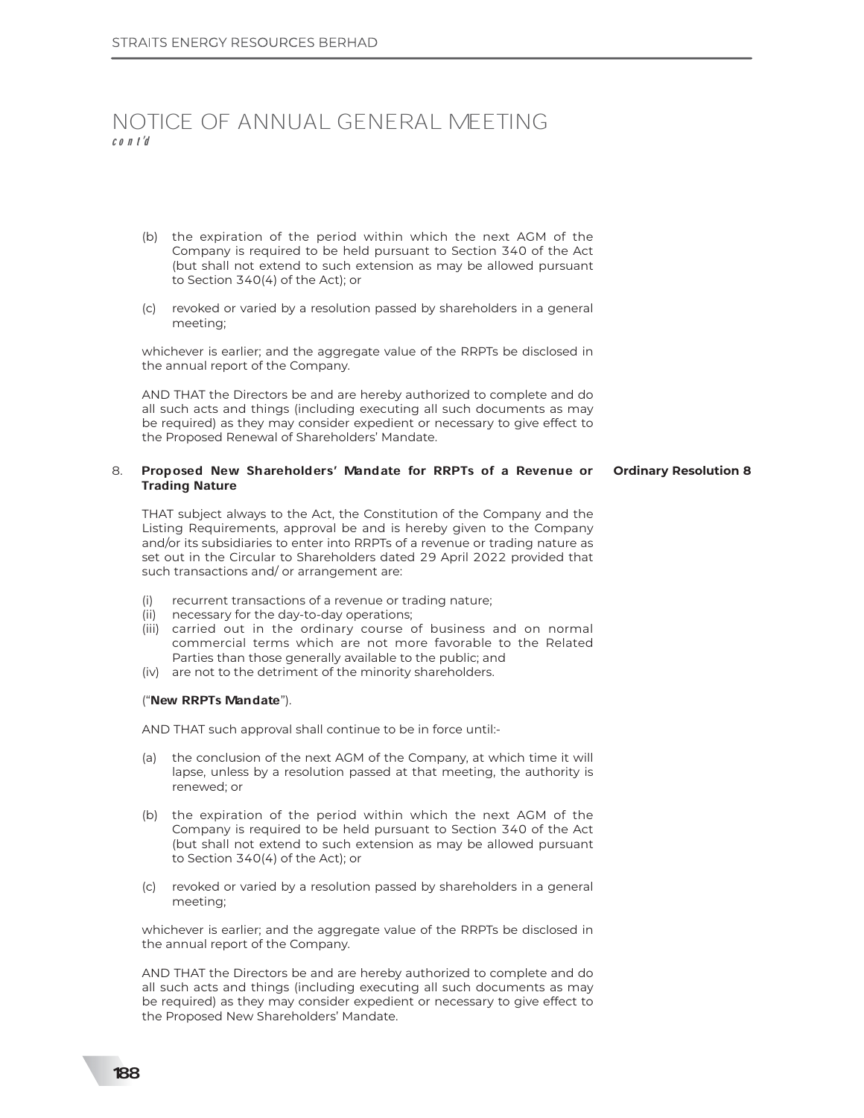## NOTICE OF ANNUAL GENERAL MEETING cont'd

- (b) the expiration of the period within which the next AGM of the Company is required to be held pursuant to Section 340 of the Act (but shall not extend to such extension as may be allowed pursuant to Section 340(4) of the Act); or
- (c) revoked or varied by a resolution passed by shareholders in a general meeting;

whichever is earlier; and the aggregate value of the RRPTs be disclosed in the annual report of the Company.

AND THAT the Directors be and are hereby authorized to complete and do all such acts and things (including executing all such documents as may be required) as they may consider expedient or necessary to give effect to the Proposed Renewal of Shareholders' Mandate.

#### 8. Proposed New Shareholders' Mandate for RRPTs of a Revenue or Trading Nature **Ordinary Resolution 8**

THAT subject always to the Act, the Constitution of the Company and the Listing Requirements, approval be and is hereby given to the Company and/or its subsidiaries to enter into RRPTs of a revenue or trading nature as set out in the Circular to Shareholders dated 29 April 2022 provided that such transactions and/ or arrangement are:

- (i) recurrent transactions of a revenue or trading nature;
- (ii) necessary for the day-to-day operations;
- (iii) carried out in the ordinary course of business and on normal commercial terms which are not more favorable to the Related Parties than those generally available to the public; and
- (iv) are not to the detriment of the minority shareholders.

#### ("New RRPTs Mandate").

AND THAT such approval shall continue to be in force until:-

- (a) the conclusion of the next AGM of the Company, at which time it will lapse, unless by a resolution passed at that meeting, the authority is renewed; or
- (b) the expiration of the period within which the next AGM of the Company is required to be held pursuant to Section 340 of the Act (but shall not extend to such extension as may be allowed pursuant to Section 340(4) of the Act); or
- (c) revoked or varied by a resolution passed by shareholders in a general meeting;

whichever is earlier; and the aggregate value of the RRPTs be disclosed in the annual report of the Company.

AND THAT the Directors be and are hereby authorized to complete and do all such acts and things (including executing all such documents as may be required) as they may consider expedient or necessary to give effect to the Proposed New Shareholders' Mandate.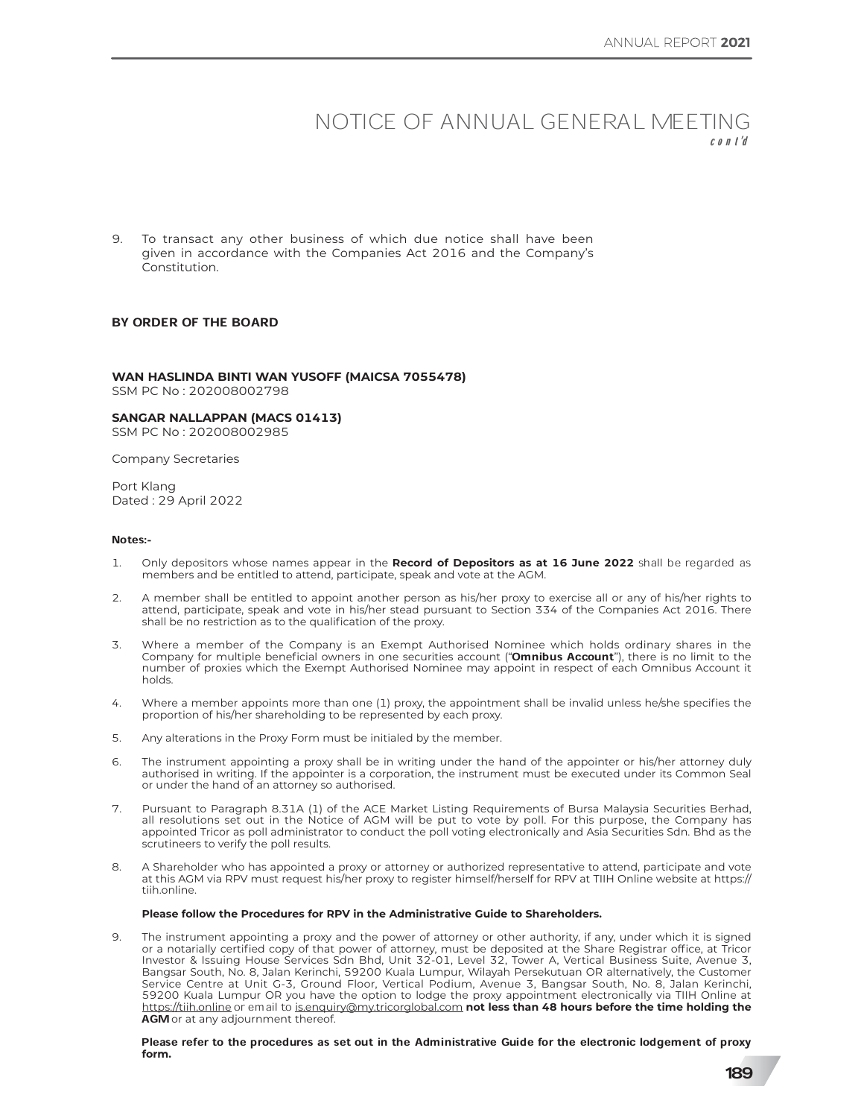### NOTICE OF ANNUAL GENERAL MEETING  $c \cdot n +' d$

9. To transact any other business of which due notice shall have been given in accordance with the Companies Act 2016 and the Company's Constitution.

#### **BY ORDER OF THE BOARD**

WAN HASLINDA BINTI WAN YUSOFF (MAICSA 7055478) SSM PC No: 202008002798

**SANGAR NALLAPPAN (MACS 01413)** SSM PC No: 202008002985

**Company Secretaries** 

Port Klang Dated: 29 April 2022

#### Notes:-

- Only depositors whose names appear in the Record of Depositors as at 16 June 2022 shall be regarded as  $\mathbf{1}$ . members and be entitled to attend, participate, speak and vote at the AGM.
- A member shall be entitled to appoint another person as his/her proxy to exercise all or any of his/her rights to 2. attend, participate, speak and vote in his/her stead pursuant to Section 334 of the Companies Act 2016. There shall be no restriction as to the qualification of the proxy.
- Where a member of the Company is an Exempt Authorised Nominee which holds ordinary shares in the  $\overline{3}$ Company for multiple beneficial owners in one securities account "**Omnibus Account**"), there is no limit to the number of proxies which the Exempt Authorised Nominee may appoint in respect of each Omnibus Account it holds
- 4 Where a member appoints more than one (1) proxy, the appointment shall be invalid unless he/she specifies the proportion of his/her shareholding to be represented by each proxy.
- 5 Any alterations in the Proxy Form must be initialed by the member.
- The instrument appointing a proxy shall be in writing under the hand of the appointer or his/her attorney duly 6 authorised in writing. If the appointer is a corporation, the instrument must be executed under its Common Seal or under the hand of an attorney so authorised.
- 7. Pursuant to Paragraph 8.31A (1) of the ACE Market Listing Requirements of Bursa Malaysia Securities Berhad, all resolutions set out in the Notice of AGM will be put to vote by poll. For this purpose, the Company has appointed Tricor as poll administrator to conduct the poll voting electronically and Asia Securities Sdn. Bhd as the scrutineers to verify the poll results.
- A Shareholder who has appointed a proxy or attorney or authorized representative to attend, participate and vote 8. at this AGM via RPV must request his/her proxy to register himself/herself for RPV at TIIH Online website at https:// tiih.online.

#### Please follow the Procedures for RPV in the Administrative Guide to Shareholders.

The instrument appointing a proxy and the power of attorney or other authority, if any, under which it is signed  $\Omega$ or a notarially certified copy of that power of attorney, must be deposited at the Share Registrar office, at Tricor Investor & Issuing House Services Sdn Bhd, Unit 32-01, Level 32, Tower A, Vertical Business Suite, Avenue 3, Bangsar South, No. 8, Jalan Kerinchi, 59200 Kuala Lumpur, Wilayah Persekutuan OR alternatively, the Customer Service Centre at Unit G-3, Ground Floor, Vertical Podium, Avenue 3, Bangsar South, No. 8, Jalan Kerinchi, 59200 Kuala Lumpur OR you have the option to lodge the proxy appointment electronically via TIIH Online at https://tiih.online or email to is enquiry@my.tricorglobal.com not less than 48 hours before the time holding the AGM or at any adjournment thereof.

Please refer to the procedures as set out in the Administrative Guide for the electronic lodgement of proxy form.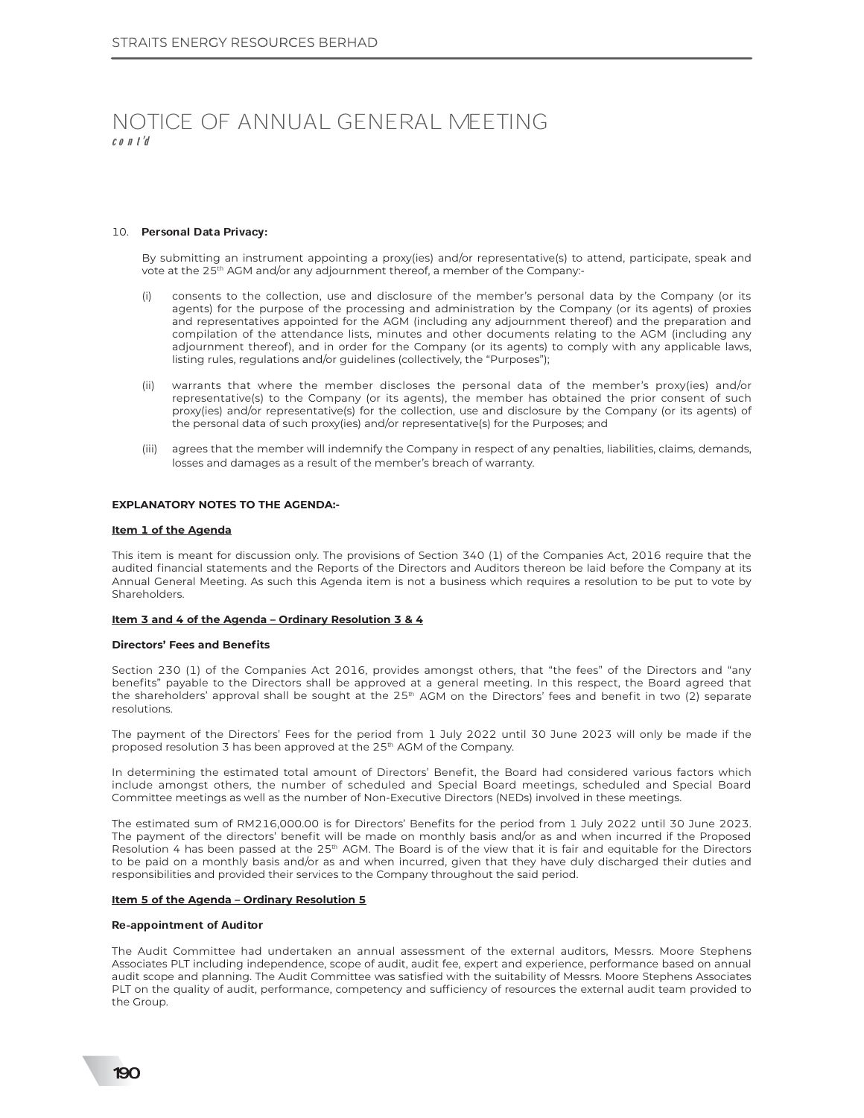# NOTICE OF ANNUAL GENERAL MEETING cont'd

#### 10. Personal Data Privacy:

By submitting an instrument appointing a proxy(ies) and/or representative(s) to attend, participate, speak and vote at the 25<sup>th</sup> AGM and/or any adjournment thereof, a member of the Company:-

- consents to the collection, use and disclosure of the member's personal data by the Company (or its agents) for the purpose of the processing and administration by the Company (or its agents) of proxies and representatives appointed for the AGM (including any adjournment thereof) and the preparation and compilation of the attendance lists, minutes and other documents relating to the AGM (including any adjournment thereof), and in order for the Company (or its agents) to comply with any applicable laws, listing rules, regulations and/or guidelines (collectively, the "Purposes");
- (ii) warrants that where the member discloses the personal data of the member's proxy(ies) and/or representative(s) to the Company (or its agents), the member has obtained the prior consent of such proxy(ies) and/or representative(s) for the collection, use and disclosure by the Company (or its agents) of the personal data of such proxy(ies) and/or representative(s) for the Purposes; and
- (iii) agrees that the member will indemnify the Company in respect of any penalties, liabilities, claims, demands, losses and damages as a result of the member's breach of warranty.

#### **EXPLANATORY NOTES TO THE AGENDA:-**

#### **Item 1 of the Agenda**

This item is meant for discussion only. The provisions of Section 340 (1) of the Companies Act, 2016 require that the audited financial statements and the Reports of the Directors and Auditors thereon be laid before the Company at its Annual General Meeting. As such this Agenda item is not a business which requires a resolution to be put to vote by Shareholders.

#### **Item 3 and 4 of the Agenda - Ordinary Resolution 3 & 4**

#### **Directors' Fees and Benefits**

Section 230 (1) of the Companies Act 2016, provides amongst others, that "the fees" of the Directors and "any benefits" payable to the Directors shall be approved at a general meeting. In this respect, the Board agreed that the shareholders' approval shall be sought at the 25<sup>th</sup> AGM on the Directors' fees and benefit in two (2) separate resolutions

The payment of the Directors' Fees for the period from 1 July 2022 until 30 June 2023 will only be made if the proposed resolution 3 has been approved at the 25<sup>th</sup> AGM of the Company.

In determining the estimated total amount of Directors' Benefit, the Board had considered various factors which include amongst others, the number of scheduled and Special Board meetings, scheduled and Special Board Committee meetings as well as the number of Non-Executive Directors (NEDs) involved in these meetings.

The estimated sum of RM216,000.00 is for Directors' Benefits for the period from 1 July 2022 until 30 June 2023. The payment of the directors' benefit will be made on monthly basis and/or as and when incurred if the Proposed Resolution 4 has been passed at the 25<sup>th</sup> AGM. The Board is of the view that it is fair and equitable for the Directors to be paid on a monthly basis and/or as and when incurred, given that they have duly discharged their duties and responsibilities and provided their services to the Company throughout the said period.

#### Item 5 of the Agenda - Ordinary Resolution 5

#### Re-appointment of Auditor

The Audit Committee had undertaken an annual assessment of the external auditors. Messrs, Moore Stephens Associates PLT including independence, scope of audit, audit fee, expert and experience, performance based on annual audit scope and planning. The Audit Committee was satisfied with the suitability of Messrs. Moore Stephens Associates PLT on the quality of audit, performance, competency and sufficiency of resources the external audit team provided to the Group.

190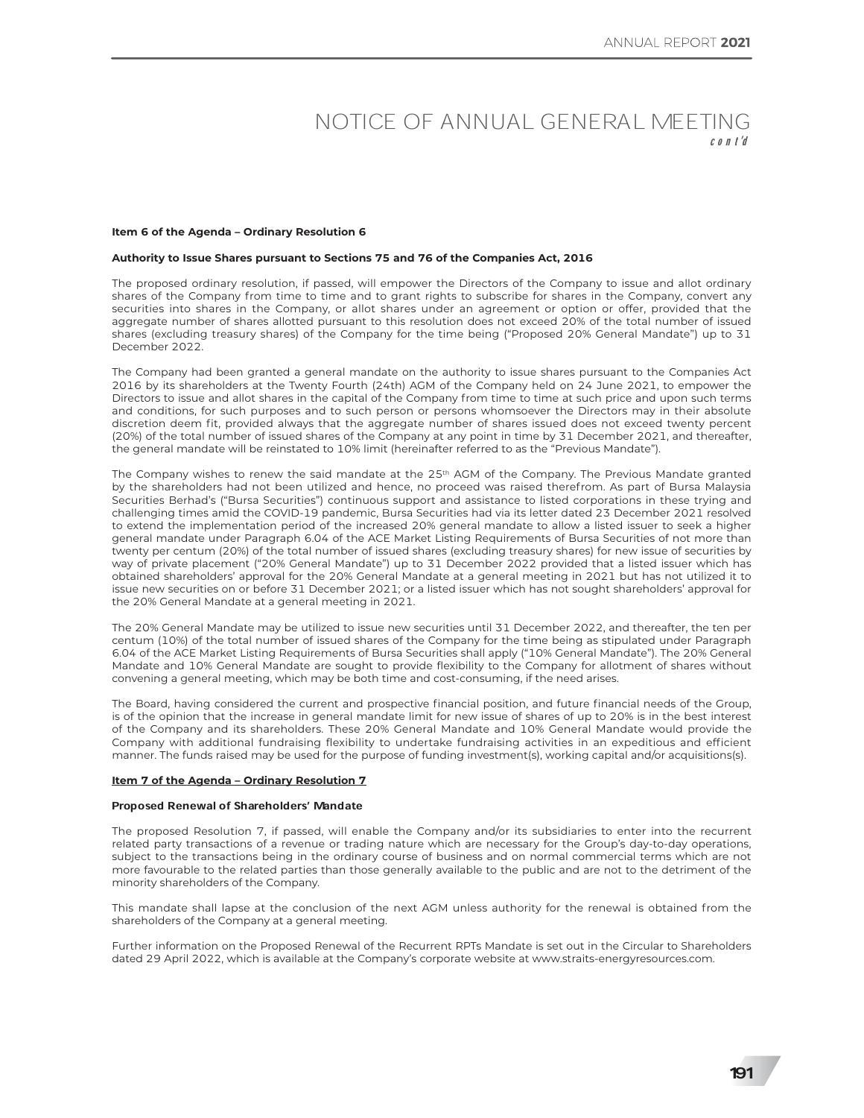# NOTICE OF ANNUAL GENERAL MEETING

#### **Item 6 of the Agenda - Ordinary Resolution 6**

#### **Authority to Issue Shares pursuant to Sections 75 and 76 of the Companies Act, 2016**

The proposed ordinary resolution, if passed, will empower the Directors of the Company to issue and allot ordinary shares of the Company from time to time and to grant rights to subscribe for shares in the Company, convert any securities into shares in the Company, or allot shares under an agreement or option or offer, provided that the aggregate number of shares allotted pursuant to this resolution does not exceed 20% of the total number of issued shares (excluding treasury shares) of the Company for the time being ("Proposed 20% General Mandate") up to 31 December 2022

The Company had been granted a general mandate on the authority to issue shares pursuant to the Companies Act 2016 by its shareholders at the Twenty Fourth (24th) AGM of the Company held on 24 June 2021, to empower the Directors to issue and allot shares in the capital of the Company from time to time at such price and upon such terms and conditions, for such purposes and to such person or persons whomsoever the Directors may in their absolute discretion deem fit, provided always that the aggregate number of shares issued does not exceed twenty percent (20%) of the total number of issued shares of the Company at any point in time by 31 December 2021, and thereafter, the general mandate will be reinstated to 10% limit (hereinafter referred to as the "Previous Mandate").

The Company wishes to renew the said mandate at the 25<sup>th</sup> AGM of the Company. The Previous Mandate granted by the shareholders had not been utilized and hence, no proceed was raised therefrom. As part of Bursa Malaysia Securities Berhad's ("Bursa Securities") continuous support and assistance to listed corporations in these trying and challenging times amid the COVID-19 pandemic, Bursa Securities had via its letter dated 23 December 2021 resolved to extend the implementation period of the increased 20% general mandate to allow a listed issuer to seek a higher general mandate under Paragraph 6.04 of the ACE Market Listing Requirements of Bursa Securities of not more than twenty per centum (20%) of the total number of issued shares (excluding treasury shares) for new issue of securities by way of private placement ("20% General Mandate") up to 31 December 2022 provided that a listed issuer which has obtained shareholders' approval for the 20% General Mandate at a general meeting in 2021 but has not utilized it to issue new securities on or before 31 December 2021; or a listed issuer which has not sought shareholders' approval for the 20% General Mandate at a general meeting in 2021.

The 20% General Mandate may be utilized to issue new securities until 31 December 2022, and thereafter, the ten per centum (10%) of the total number of issued shares of the Company for the time being as stipulated under Paragraph 6.04 of the ACE Market Listing Requirements of Bursa Securities shall apply ("10% General Mandate"). The 20% General Mandate and 10% General Mandate are sought to provide flexibility to the Company for allotment of shares without convening a general meeting, which may be both time and cost-consuming, if the need arises.

The Board, having considered the current and prospective financial position, and future financial needs of the Group, is of the opinion that the increase in general mandate limit for new issue of shares of up to 20% is in the best interest of the Company and its shareholders. These 20% General Mandate and 10% General Mandate would provide the Company with additional fundraising flexibility to undertake fundraising activities in an expeditious and efficient manner. The funds raised may be used for the purpose of funding investment(s), working capital and/or acquisitions(s).

#### **Item 7 of the Agenda - Ordinary Resolution 7**

#### Proposed Renewal of Shareholders' Mandate

The proposed Resolution 7, if passed, will enable the Company and/or its subsidiaries to enter into the recurrent related party transactions of a revenue or trading nature which are necessary for the Group's day-to-day operations, subject to the transactions being in the ordinary course of business and on normal commercial terms which are not more favourable to the related parties than those generally available to the public and are not to the detriment of the minority shareholders of the Company.

This mandate shall lapse at the conclusion of the next AGM unless authority for the renewal is obtained from the shareholders of the Company at a general meeting.

Further information on the Proposed Renewal of the Recurrent RPTs Mandate is set out in the Circular to Shareholders dated 29 April 2022, which is available at the Company's corporate website at www.straits-energyresources.com.